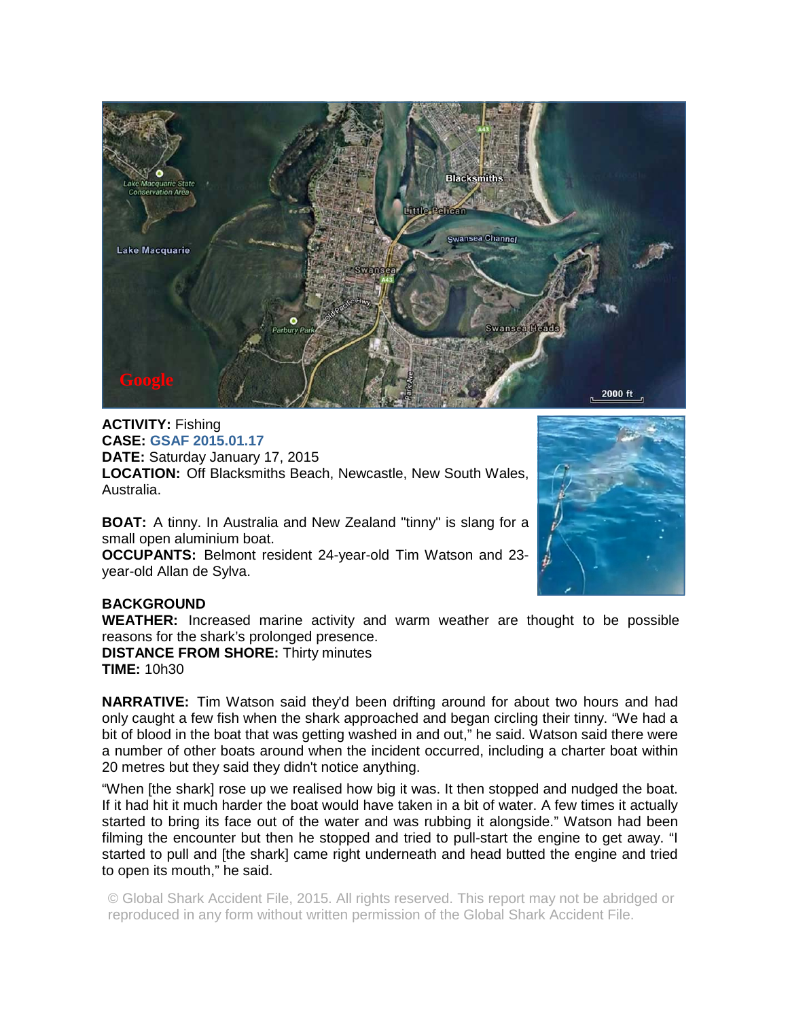

**ACTIVITY:** Fishing **CASE: GSAF 2015.01.17 DATE:** Saturday January 17, 2015 **LOCATION:** Off Blacksmiths Beach, Newcastle, New South Wales, Australia.

**BOAT:** A tinny. In Australia and New Zealand "tinny" is slang for a small open aluminium boat.

**OCCUPANTS:** Belmont resident 24-year-old Tim Watson and 23 year-old Allan de Sylva.



## **BACKGROUND**

**WEATHER:** Increased marine activity and warm weather are thought to be possible reasons for the shark's prolonged presence.

**DISTANCE FROM SHORE:** Thirty minutes **TIME:** 10h30

**NARRATIVE:** Tim Watson said they'd been drifting around for about two hours and had only caught a few fish when the shark approached and began circling their tinny. "We had a bit of blood in the boat that was getting washed in and out," he said. Watson said there were a number of other boats around when the incident occurred, including a charter boat within 20 metres but they said they didn't notice anything.

"When [the shark] rose up we realised how big it was. It then stopped and nudged the boat. If it had hit it much harder the boat would have taken in a bit of water. A few times it actually started to bring its face out of the water and was rubbing it alongside." Watson had been filming the encounter but then he stopped and tried to pull-start the engine to get away. "I started to pull and [the shark] came right underneath and head butted the engine and tried to open its mouth," he said.

© Global Shark Accident File, 2015. All rights reserved. This report may not be abridged or reproduced in any form without written permission of the Global Shark Accident File.